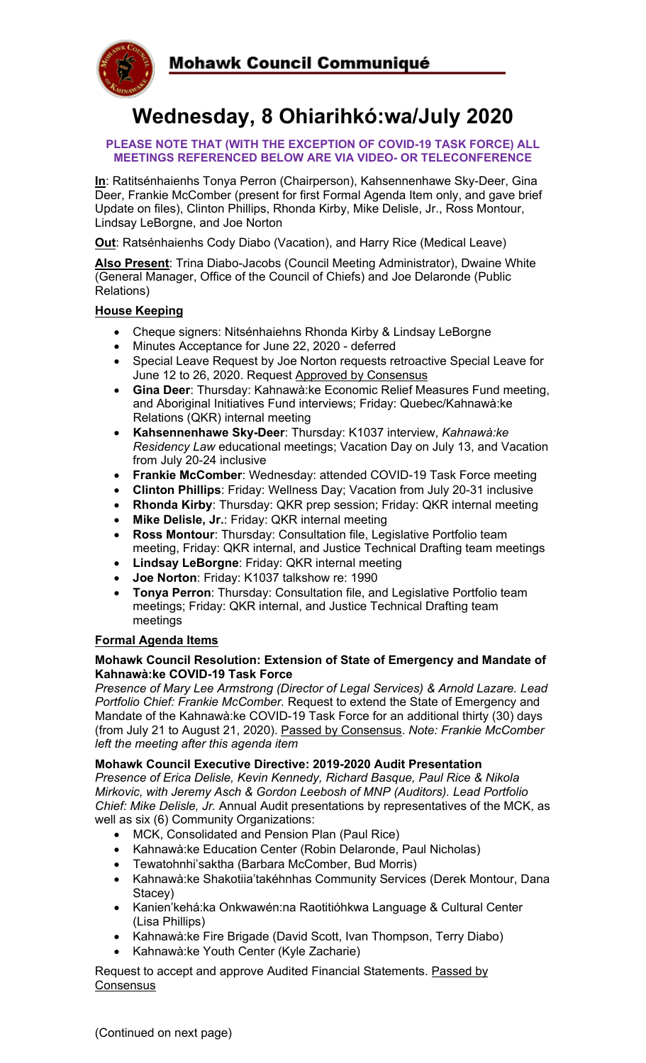

# **Wednesday, 8 Ohiarihkó:wa/July 2020**

#### **PLEASE NOTE THAT (WITH THE EXCEPTION OF COVID-19 TASK FORCE) ALL MEETINGS REFERENCED BELOW ARE VIA VIDEO- OR TELECONFERENCE**

**In**: Ratitsénhaienhs Tonya Perron (Chairperson), Kahsennenhawe Sky-Deer, Gina Deer, Frankie McComber (present for first Formal Agenda Item only, and gave brief Update on files), Clinton Phillips, Rhonda Kirby, Mike Delisle, Jr., Ross Montour, Lindsay LeBorgne, and Joe Norton

**Out**: Ratsénhaienhs Cody Diabo (Vacation), and Harry Rice (Medical Leave)

**Also Present**: Trina Diabo-Jacobs (Council Meeting Administrator), Dwaine White (General Manager, Office of the Council of Chiefs) and Joe Delaronde (Public Relations)

# **House Keeping**

- Cheque signers: Nitsénhaiehns Rhonda Kirby & Lindsay LeBorgne
- Minutes Acceptance for June 22, 2020 deferred
- Special Leave Request by Joe Norton requests retroactive Special Leave for June 12 to 26, 2020. Request Approved by Consensus
- **Gina Deer**: Thursday: Kahnawà:ke Economic Relief Measures Fund meeting, and Aboriginal Initiatives Fund interviews; Friday: Quebec/Kahnawà:ke Relations (QKR) internal meeting
- **Kahsennenhawe Sky-Deer**: Thursday: K1037 interview, *Kahnawà:ke Residency Law* educational meetings; Vacation Day on July 13, and Vacation from July 20-24 inclusive
- **Frankie McComber**: Wednesday: attended COVID-19 Task Force meeting
- **Clinton Phillips**: Friday: Wellness Day; Vacation from July 20-31 inclusive
- **Rhonda Kirby**: Thursday: QKR prep session; Friday: QKR internal meeting
- **Mike Delisle, Jr.**: Friday: QKR internal meeting
- **Ross Montour**: Thursday: Consultation file, Legislative Portfolio team meeting, Friday: QKR internal, and Justice Technical Drafting team meetings
- **Lindsay LeBorgne**: Friday: QKR internal meeting
- **Joe Norton**: Friday: K1037 talkshow re: 1990
- **Tonya Perron**: Thursday: Consultation file, and Legislative Portfolio team meetings; Friday: QKR internal, and Justice Technical Drafting team meetings

# **Formal Agenda Items**

## **Mohawk Council Resolution: Extension of State of Emergency and Mandate of Kahnawà:ke COVID-19 Task Force**

*Presence of Mary Lee Armstrong (Director of Legal Services) & Arnold Lazare. Lead Portfolio Chief: Frankie McComber.* Request to extend the State of Emergency and Mandate of the Kahnawà:ke COVID-19 Task Force for an additional thirty (30) days (from July 21 to August 21, 2020). Passed by Consensus. *Note: Frankie McComber left the meeting after this agenda item*

#### **Mohawk Council Executive Directive: 2019-2020 Audit Presentation**

*Presence of Erica Delisle, Kevin Kennedy, Richard Basque, Paul Rice & Nikola Mirkovic, with Jeremy Asch & Gordon Leebosh of MNP (Auditors). Lead Portfolio Chief: Mike Delisle, Jr.* Annual Audit presentations by representatives of the MCK, as well as six (6) Community Organizations:

- MCK, Consolidated and Pension Plan (Paul Rice)
- Kahnawà:ke Education Center (Robin Delaronde, Paul Nicholas)
- Tewatohnhi'saktha (Barbara McComber, Bud Morris)
- Kahnawà:ke Shakotiia'takéhnhas Community Services (Derek Montour, Dana Stacey)
- Kanien'kehá:ka Onkwawén:na Raotitióhkwa Language & Cultural Center (Lisa Phillips)
- Kahnawà:ke Fire Brigade (David Scott, Ivan Thompson, Terry Diabo)
- Kahnawà:ke Youth Center (Kyle Zacharie)

Request to accept and approve Audited Financial Statements. Passed by **Consensus**